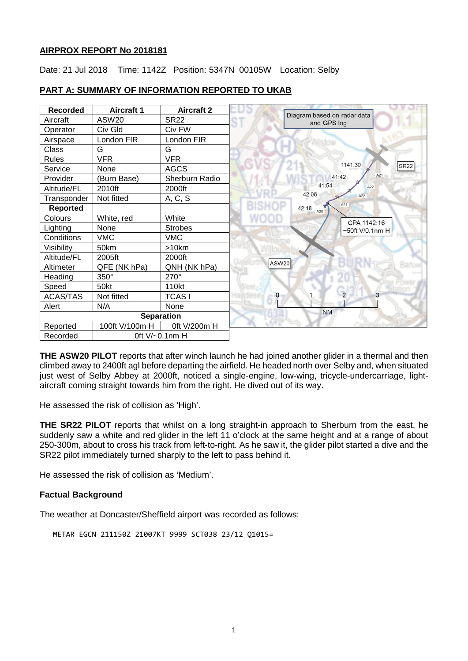#### **AIRPROX REPORT No 2018181**

Date: 21 Jul 2018 Time: 1142Z Position: 5347N 00105W Location: Selby

| <b>Recorded</b> | <b>Aircraft 1</b> | <b>Aircraft 2</b> |                                            |
|-----------------|-------------------|-------------------|--------------------------------------------|
| Aircraft        | ASW20             | <b>SR22</b>       | Diagram based on radar data<br>and GPS log |
| Operator        | Civ Gld           | Civ FW            |                                            |
| Airspace        | London FIR        | London FIR        |                                            |
| Class           | G                 | G                 |                                            |
| <b>Rules</b>    | <b>VFR</b>        | <b>VFR</b>        |                                            |
| Service         | None              | <b>AGCS</b>       | 1141:30<br><b>SR22</b>                     |
| Provider        | (Burn Base)       | Sherburn Radio    | A21<br>41:42                               |
| Altitude/FL     | 2010ft            | 2000ft            | 41:54<br>A22                               |
| Transponder     | Not fitted        | A, C, S           | 42:06<br>A22                               |
| <b>Reported</b> |                   |                   | A21<br>42:18<br>A20                        |
| Colours         | White, red        | White             | CPA 1142:16                                |
| Lighting        | None              | <b>Strobes</b>    | ~50ft V/0.1nm H                            |
| Conditions      | <b>VMC</b>        | <b>VMC</b>        |                                            |
| Visibility      | 50km              | >10km             |                                            |
| Altitude/FL     | 2005ft            | 2000ft            |                                            |
| Altimeter       | QFE (NK hPa)      | QNH (NK hPa)      | ASW20                                      |
| Heading         | 350°              | 270°              |                                            |
| Speed           | 50kt              | 110kt             |                                            |
| <b>ACAS/TAS</b> | Not fitted        | <b>TCASI</b>      | $\overline{c}$                             |
| Alert           | N/A               | None              |                                            |
|                 |                   | <b>Separation</b> | <b>NM</b>                                  |
| Reported        | 100ft V/100m H    | 0ft V/200m H      |                                            |
| Recorded        |                   | 0ft V/~0.1nm H    |                                            |

### **PART A: SUMMARY OF INFORMATION REPORTED TO UKAB**

**THE ASW20 PILOT** reports that after winch launch he had joined another glider in a thermal and then climbed away to 2400ft agl before departing the airfield. He headed north over Selby and, when situated just west of Selby Abbey at 2000ft, noticed a single-engine, low-wing, tricycle-undercarriage, lightaircraft coming straight towards him from the right. He dived out of its way.

He assessed the risk of collision as 'High'.

**THE SR22 PILOT** reports that whilst on a long straight-in approach to Sherburn from the east, he suddenly saw a white and red glider in the left 11 o'clock at the same height and at a range of about 250-300m, about to cross his track from left-to-right. As he saw it, the glider pilot started a dive and the SR22 pilot immediately turned sharply to the left to pass behind it.

He assessed the risk of collision as 'Medium'.

# **Factual Background**

The weather at Doncaster/Sheffield airport was recorded as follows:

```
METAR EGCN 211150Z 21007KT 9999 SCT038 23/12 Q1015=
```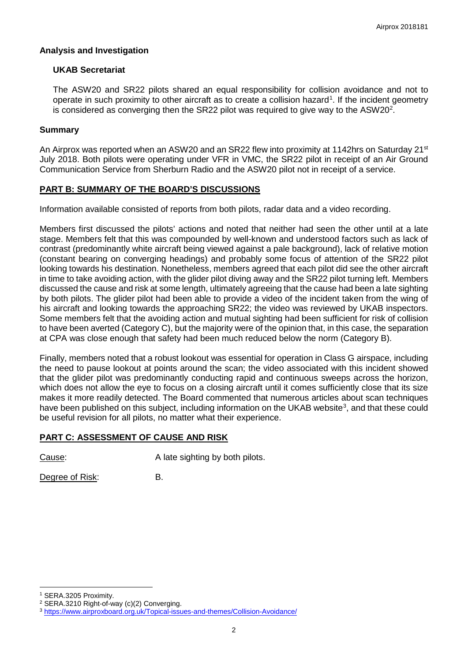#### **Analysis and Investigation**

### **UKAB Secretariat**

The ASW20 and SR22 pilots shared an equal responsibility for collision avoidance and not to operate in such proximity to other aircraft as to create a collision hazard<sup>[1](#page-1-0)</sup>. If the incident geometry is considered as converging then the SR[2](#page-1-1)2 pilot was required to give way to the ASW20<sup>2</sup>.

### **Summary**

An Airprox was reported when an ASW20 and an SR22 flew into proximity at 1142hrs on Saturday 21<sup>st</sup> July 2018. Both pilots were operating under VFR in VMC, the SR22 pilot in receipt of an Air Ground Communication Service from Sherburn Radio and the ASW20 pilot not in receipt of a service.

# **PART B: SUMMARY OF THE BOARD'S DISCUSSIONS**

Information available consisted of reports from both pilots, radar data and a video recording.

Members first discussed the pilots' actions and noted that neither had seen the other until at a late stage. Members felt that this was compounded by well-known and understood factors such as lack of contrast (predominantly white aircraft being viewed against a pale background), lack of relative motion (constant bearing on converging headings) and probably some focus of attention of the SR22 pilot looking towards his destination. Nonetheless, members agreed that each pilot did see the other aircraft in time to take avoiding action, with the glider pilot diving away and the SR22 pilot turning left. Members discussed the cause and risk at some length, ultimately agreeing that the cause had been a late sighting by both pilots. The glider pilot had been able to provide a video of the incident taken from the wing of his aircraft and looking towards the approaching SR22; the video was reviewed by UKAB inspectors. Some members felt that the avoiding action and mutual sighting had been sufficient for risk of collision to have been averted (Category C), but the majority were of the opinion that, in this case, the separation at CPA was close enough that safety had been much reduced below the norm (Category B).

Finally, members noted that a robust lookout was essential for operation in Class G airspace, including the need to pause lookout at points around the scan; the video associated with this incident showed that the glider pilot was predominantly conducting rapid and continuous sweeps across the horizon, which does not allow the eye to focus on a closing aircraft until it comes sufficiently close that its size makes it more readily detected. The Board commented that numerous articles about scan techniques have been published on this subject, including information on the UKAB website<sup>[3](#page-1-2)</sup>, and that these could be useful revision for all pilots, no matter what their experience.

# **PART C: ASSESSMENT OF CAUSE AND RISK**

Cause: Cause: A late sighting by both pilots.

Degree of Risk: B.

 $\overline{\phantom{a}}$ <sup>1</sup> SERA.3205 Proximity.

<span id="page-1-1"></span><span id="page-1-0"></span><sup>2</sup> SERA.3210 Right-of-way (c)(2) Converging.

<span id="page-1-2"></span><sup>3</sup> <https://www.airproxboard.org.uk/Topical-issues-and-themes/Collision-Avoidance/>